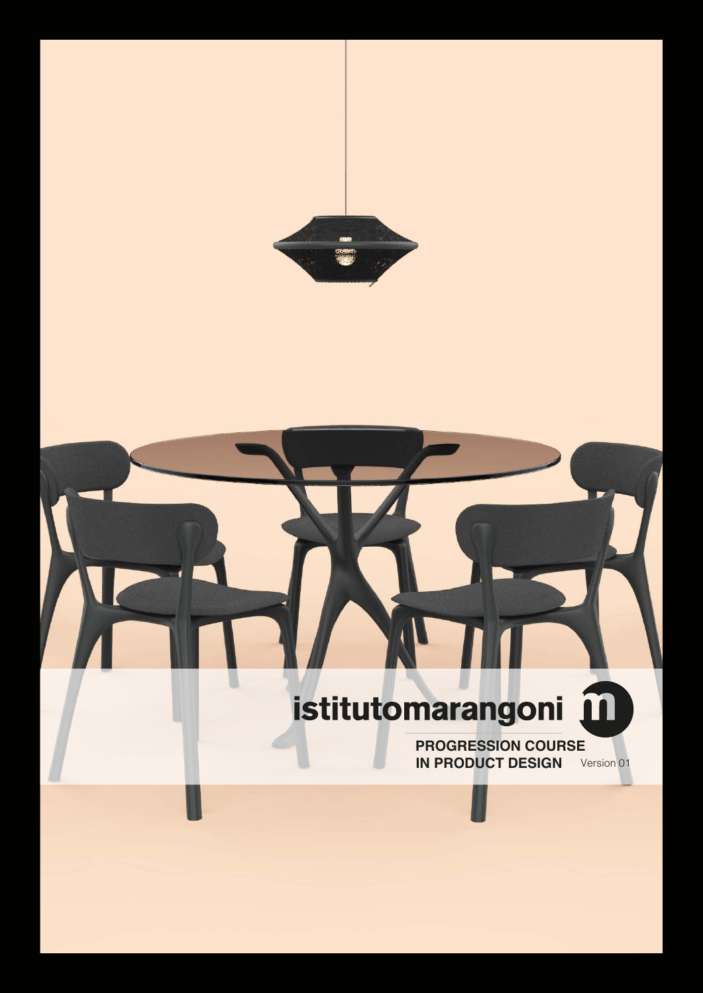

# istitutomarangoni m

 $\overline{\mathsf{I}}$ 

**PROGRESSION COURSE IN PRODUCT DESIGN** Version 01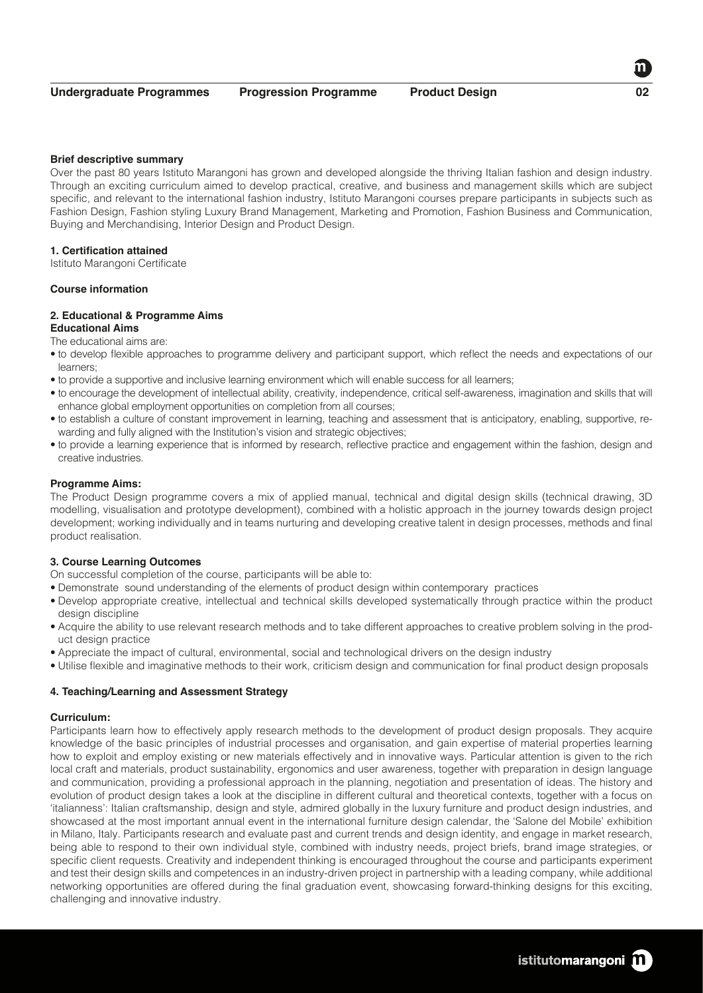## **Brief descriptive summary**

Over the past 80 years Istituto Marangoni has grown and developed alongside the thriving Italian fashion and design industry. Through an exciting curriculum aimed to develop practical, creative, and business and management skills which are subject specific, and relevant to the international fashion industry, Istituto Marangoni courses prepare participants in subjects such as Fashion Design, Fashion styling Luxury Brand Management, Marketing and Promotion, Fashion Business and Communication, Buying and Merchandising, Interior Design and Product Design.

## **1. Certification attained**

Istituto Marangoni Certificate

## **Course information**

# **2. Educational & Programme Aims**

**Educational Aims** 

The educational aims are:

- to develop flexible approaches to programme delivery and participant support, which reflect the needs and expectations of our learners;
- to provide a supportive and inclusive learning environment which will enable success for all learners;
- to encourage the development of intellectual ability, creativity, independence, critical self-awareness, imagination and skills that will enhance global employment opportunities on completion from all courses;
- to establish a culture of constant improvement in learning, teaching and assessment that is anticipatory, enabling, supportive, rewarding and fully aligned with the Institution's vision and strategic objectives;
- to provide a learning experience that is informed by research, reflective practice and engagement within the fashion, design and creative industries.

#### **Programme Aims:**

The Product Design programme covers a mix of applied manual, technical and digital design skills (technical drawing, 3D modelling, visualisation and prototype development), combined with a holistic approach in the journey towards design project development; working individually and in teams nurturing and developing creative talent in design processes, methods and final product realisation.

# **3. Course Learning Outcomes**

- On successful completion of the course, participants will be able to:
- Demonstrate sound understanding of the elements of product design within contemporary practices
- Develop appropriate creative, intellectual and technical skills developed systematically through practice within the product design discipline
- Acquire the ability to use relevant research methods and to take different approaches to creative problem solving in the product design practice
- Appreciate the impact of cultural, environmental, social and technological drivers on the design industry
- Utilise flexible and imaginative methods to their work, criticism design and communication for final product design proposals

# **4. Teaching/Learning and Assessment Strategy**

#### **Curriculum:**

Participants learn how to effectively apply research methods to the development of product design proposals. They acquire knowledge of the basic principles of industrial processes and organisation, and gain expertise of material properties learning how to exploit and employ existing or new materials effectively and in innovative ways. Particular attention is given to the rich local craft and materials, product sustainability, ergonomics and user awareness, together with preparation in design language and communication, providing a professional approach in the planning, negotiation and presentation of ideas. The history and evolution of product design takes a look at the discipline in different cultural and theoretical contexts, together with a focus on 'italianness': Italian craftsmanship, design and style, admired globally in the luxury furniture and product design industries, and showcased at the most important annual event in the international furniture design calendar, the 'Salone del Mobile' exhibition in Milano, Italy. Participants research and evaluate past and current trends and design identity, and engage in market research, being able to respond to their own individual style, combined with industry needs, project briefs, brand image strategies, or specific client requests. Creativity and independent thinking is encouraged throughout the course and participants experiment and test their design skills and competences in an industry-driven project in partnership with a leading company, while additional networking opportunities are offered during the final graduation event, showcasing forward-thinking designs for this exciting, challenging and innovative industry.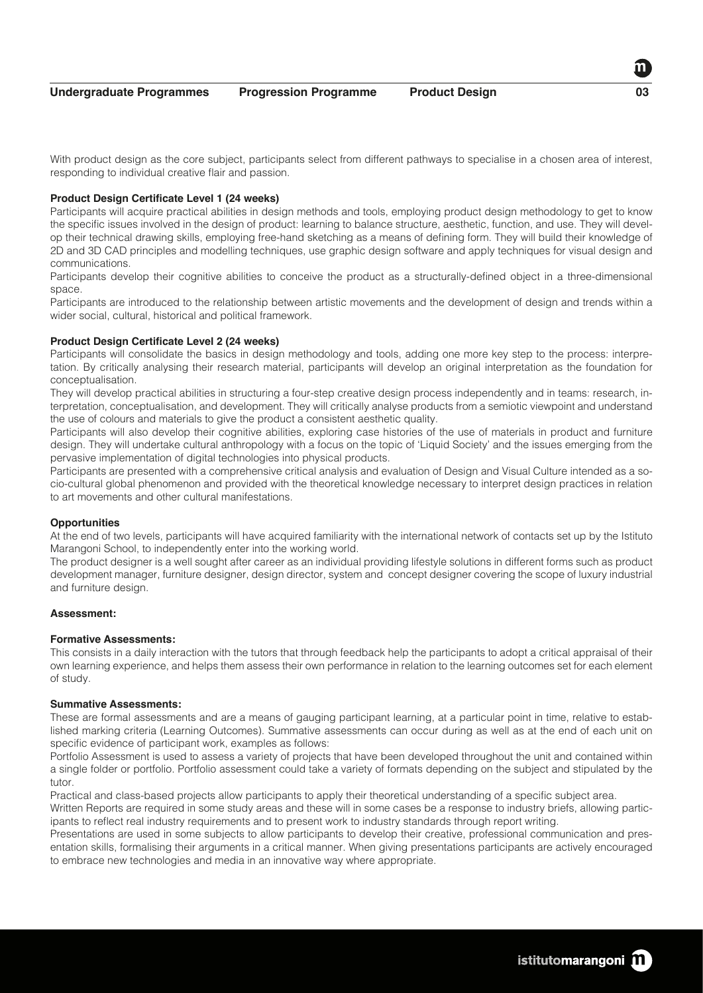With product design as the core subject, participants select from different pathways to specialise in a chosen area of interest, responding to individual creative flair and passion.

#### **Product Design Certificate Level 1 (24 weeks)**

Participants will acquire practical abilities in design methods and tools, employing product design methodology to get to know the specific issues involved in the design of product: learning to balance structure, aesthetic, function, and use. They will develop their technical drawing skills, employing free-hand sketching as a means of defining form. They will build their knowledge of 2D and 3D CAD principles and modelling techniques, use graphic design software and apply techniques for visual design and communications.

Participants develop their cognitive abilities to conceive the product as a structurally-defined object in a three-dimensional space.

Participants are introduced to the relationship between artistic movements and the development of design and trends within a wider social, cultural, historical and political framework.

### **Product Design Certificate Level 2 (24 weeks)**

Participants will consolidate the basics in design methodology and tools, adding one more key step to the process: interpretation. By critically analysing their research material, participants will develop an original interpretation as the foundation for conceptualisation.

They will develop practical abilities in structuring a four-step creative design process independently and in teams: research, interpretation, conceptualisation, and development. They will critically analyse products from a semiotic viewpoint and understand the use of colours and materials to give the product a consistent aesthetic quality.

Participants will also develop their cognitive abilities, exploring case histories of the use of materials in product and furniture design. They will undertake cultural anthropology with a focus on the topic of 'Liquid Society' and the issues emerging from the pervasive implementation of digital technologies into physical products.

Participants are presented with a comprehensive critical analysis and evaluation of Design and Visual Culture intended as a socio-cultural global phenomenon and provided with the theoretical knowledge necessary to interpret design practices in relation to art movements and other cultural manifestations.

#### **Opportunities**

At the end of two levels, participants will have acquired familiarity with the international network of contacts set up by the Istituto Marangoni School, to independently enter into the working world.

The product designer is a well sought after career as an individual providing lifestyle solutions in different forms such as product development manager, furniture designer, design director, system and concept designer covering the scope of luxury industrial and furniture design.

#### **Assessment:**

## **Formative Assessments:**

This consists in a daily interaction with the tutors that through feedback help the participants to adopt a critical appraisal of their own learning experience, and helps them assess their own performance in relation to the learning outcomes set for each element of study.

#### **Summative Assessments:**

These are formal assessments and are a means of gauging participant learning, at a particular point in time, relative to established marking criteria (Learning Outcomes). Summative assessments can occur during as well as at the end of each unit on specific evidence of participant work, examples as follows:

Portfolio Assessment is used to assess a variety of projects that have been developed throughout the unit and contained within a single folder or portfolio. Portfolio assessment could take a variety of formats depending on the subject and stipulated by the tutor.

Practical and class-based projects allow participants to apply their theoretical understanding of a specific subject area.

Written Reports are required in some study areas and these will in some cases be a response to industry briefs, allowing participants to reflect real industry requirements and to present work to industry standards through report writing.

Presentations are used in some subjects to allow participants to develop their creative, professional communication and presentation skills, formalising their arguments in a critical manner. When giving presentations participants are actively encouraged to embrace new technologies and media in an innovative way where appropriate.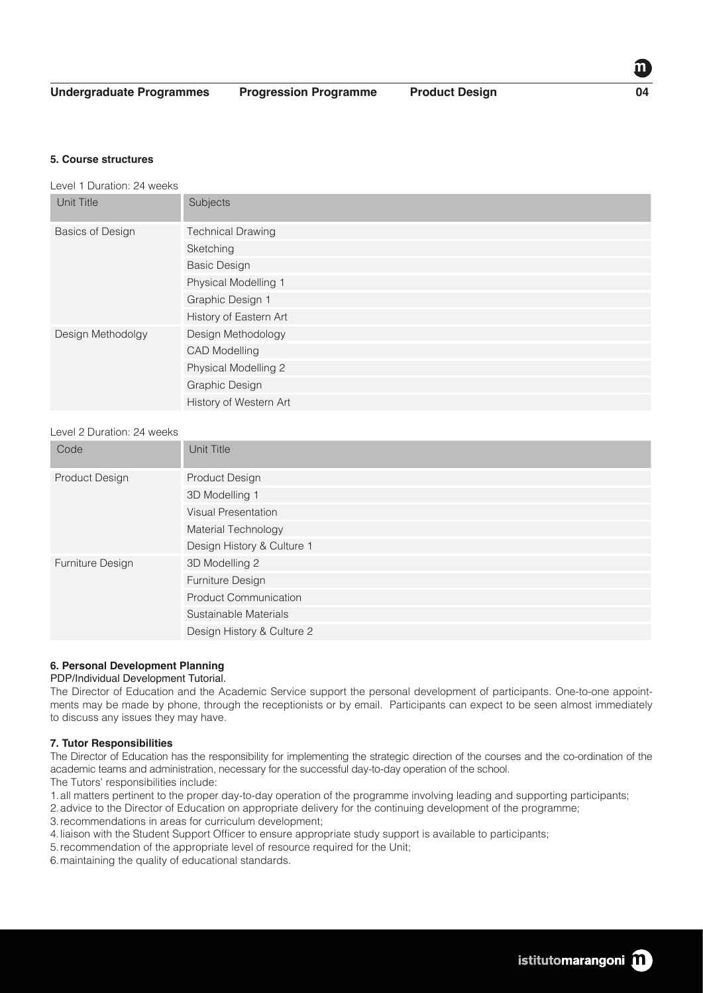**Undergraduate Programmes Progression Programme Product Design 04**

**5. Course structures**

Level 1 Duration: 24 weeks

| Unit Title              | Subjects                 |
|-------------------------|--------------------------|
| <b>Basics of Design</b> | <b>Technical Drawing</b> |
|                         | Sketching                |
|                         | <b>Basic Design</b>      |
|                         | Physical Modelling 1     |
|                         | Graphic Design 1         |
|                         | History of Eastern Art   |
| Design Methodolgy       | Design Methodology       |
|                         | <b>CAD Modelling</b>     |
|                         | Physical Modelling 2     |
|                         | Graphic Design           |
|                         | History of Western Art   |

# Level 2 Duration: 24 weeks

| Code             | Unit Title                   |
|------------------|------------------------------|
| Product Design   | Product Design               |
|                  | 3D Modelling 1               |
|                  | <b>Visual Presentation</b>   |
|                  | Material Technology          |
|                  | Design History & Culture 1   |
| Furniture Design | 3D Modelling 2               |
|                  | Furniture Design             |
|                  | <b>Product Communication</b> |
|                  | Sustainable Materials        |
|                  | Design History & Culture 2   |

# **6. Personal Development Planning**

# PDP/Individual Development Tutorial.

The Director of Education and the Academic Service support the personal development of participants. One-to-one appointments may be made by phone, through the receptionists or by email. Participants can expect to be seen almost immediately to discuss any issues they may have.

# **7. Tutor Responsibilities**

The Director of Education has the responsibility for implementing the strategic direction of the courses and the co-ordination of the academic teams and administration, necessary for the successful day-to-day operation of the school.

The Tutors' responsibilities include:

- 1.all matters pertinent to the proper day-to-day operation of the programme involving leading and supporting participants;
- 2.advice to the Director of Education on appropriate delivery for the continuing development of the programme;
- 3.recommendations in areas for curriculum development;
- 4.liaison with the Student Support Officer to ensure appropriate study support is available to participants;
- 5.recommendation of the appropriate level of resource required for the Unit;
- 6.maintaining the quality of educational standards.